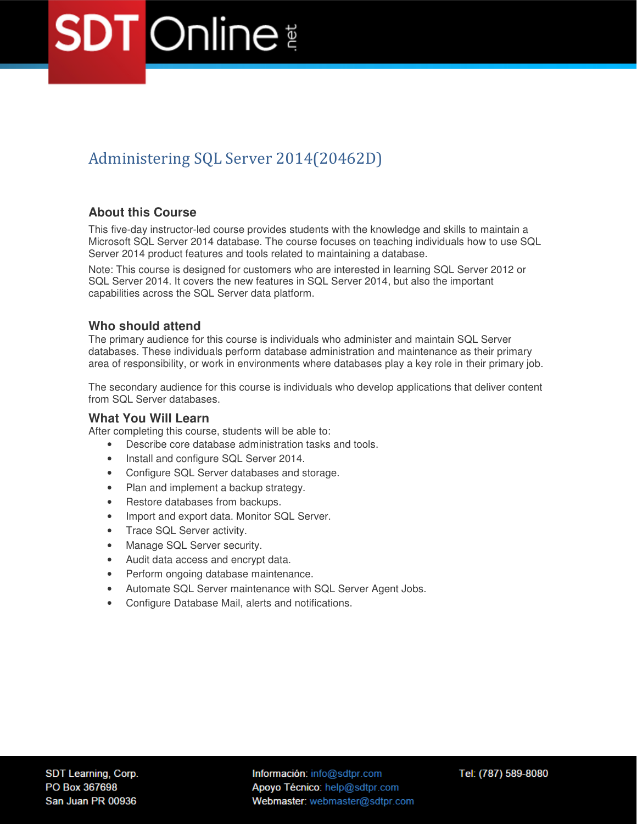## Administering SQL Server 2014(20462D)

## **About this Course**

This five-day instructor-led course provides students with the knowledge and skills to maintain a Microsoft SQL Server 2014 database. The course focuses on teaching individuals how to use SQL Server 2014 product features and tools related to maintaining a database.

Note: This course is designed for customers who are interested in learning SQL Server 2012 or SQL Server 2014. It covers the new features in SQL Server 2014, but also the important capabilities across the SQL Server data platform.

## **Who should attend**

The primary audience for this course is individuals who administer and maintain SQL Server databases. These individuals perform database administration and maintenance as their primary area of responsibility, or work in environments where databases play a key role in their primary job.

The secondary audience for this course is individuals who develop applications that deliver content from SQL Server databases.

## **What You Will Learn**

After completing this course, students will be able to:

- Describe core database administration tasks and tools.
- Install and configure SQL Server 2014.
- Configure SQL Server databases and storage.
- Plan and implement a backup strategy.
- Restore databases from backups.
- Import and export data. Monitor SQL Server.
- Trace SQL Server activity.
- Manage SQL Server security.
- Audit data access and encrypt data.
- Perform ongoing database maintenance.
- Automate SQL Server maintenance with SQL Server Agent Jobs.
- Configure Database Mail, alerts and notifications.

Información: info@sdtpr.com Apoyo Técnico: help@sdtpr.com Webmaster: webmaster@sdtpr.com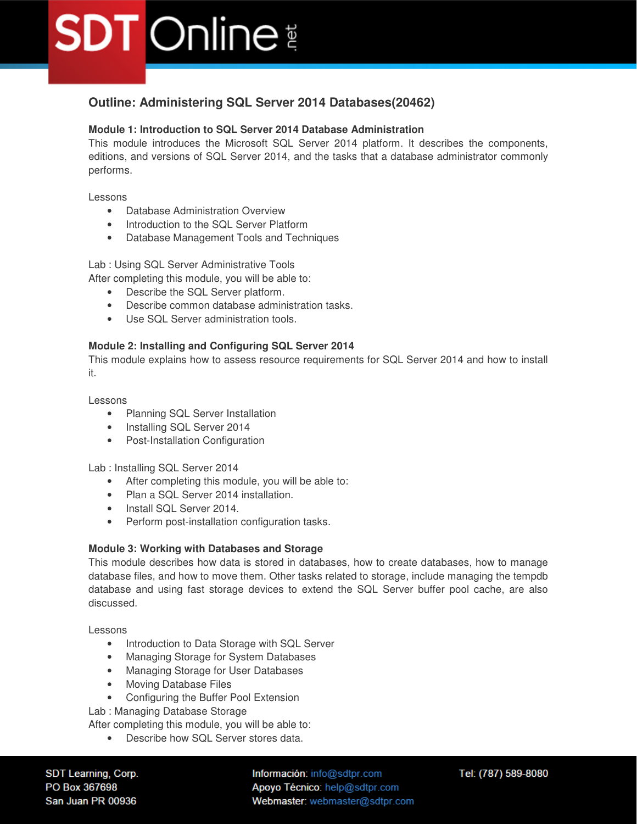## **Outline: Administering SQL Server 2014 Databases(20462)**

## **Module 1: Introduction to SQL Server 2014 Database Administration**

This module introduces the Microsoft SQL Server 2014 platform. It describes the components, editions, and versions of SQL Server 2014, and the tasks that a database administrator commonly performs.

Lessons

- Database Administration Overview
- Introduction to the SQL Server Platform
- Database Management Tools and Techniques

Lab : Using SQL Server Administrative Tools

After completing this module, you will be able to:

- Describe the SQL Server platform.
- Describe common database administration tasks.
- Use SQL Server administration tools.

## **Module 2: Installing and Configuring SQL Server 2014**

This module explains how to assess resource requirements for SQL Server 2014 and how to install it.

Lessons

- Planning SQL Server Installation
- Installing SQL Server 2014
- Post-Installation Configuration

Lab : Installing SQL Server 2014

- After completing this module, you will be able to:
- Plan a SQL Server 2014 installation.
- Install SQL Server 2014.
- Perform post-installation configuration tasks.

## **Module 3: Working with Databases and Storage**

This module describes how data is stored in databases, how to create databases, how to manage database files, and how to move them. Other tasks related to storage, include managing the tempdb database and using fast storage devices to extend the SQL Server buffer pool cache, are also discussed.

Lessons

- Introduction to Data Storage with SQL Server
- Managing Storage for System Databases
- Managing Storage for User Databases
- Moving Database Files
- Configuring the Buffer Pool Extension
- Lab : Managing Database Storage

After completing this module, you will be able to:

• Describe how SQL Server stores data.

SDT Learning, Corp. PO Box 367698 San Juan PR 00936

Información: info@sdtpr.com Apoyo Técnico: help@sdtpr.com Webmaster: webmaster@sdtpr.com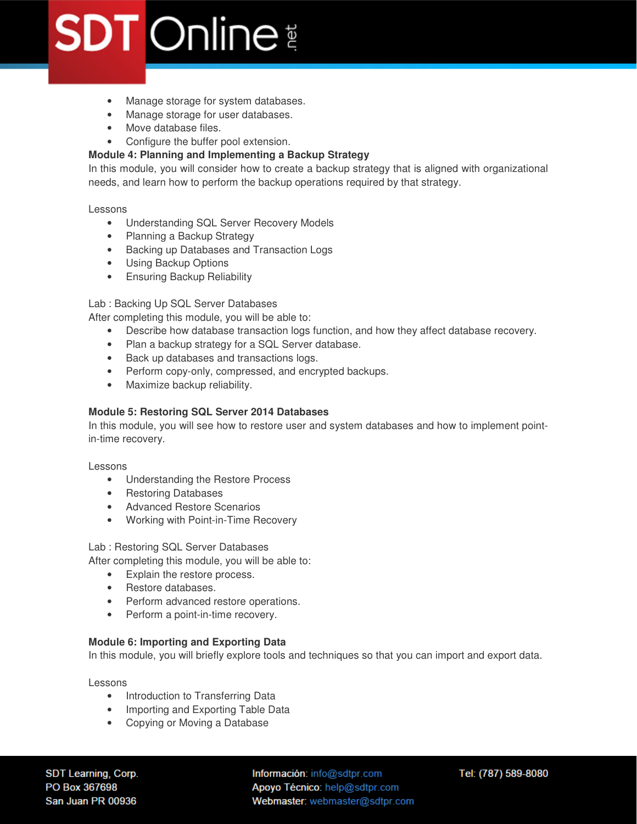- Manage storage for system databases.
- Manage storage for user databases.
- Move database files.
- Configure the buffer pool extension.

## **Module 4: Planning and Implementing a Backup Strategy**

In this module, you will consider how to create a backup strategy that is aligned with organizational needs, and learn how to perform the backup operations required by that strategy.

Lessons

- Understanding SQL Server Recovery Models
- Planning a Backup Strategy
- Backing up Databases and Transaction Logs
- Using Backup Options
- Ensuring Backup Reliability

## Lab : Backing Up SQL Server Databases

After completing this module, you will be able to:

- Describe how database transaction logs function, and how they affect database recovery.
- Plan a backup strategy for a SQL Server database.
- Back up databases and transactions logs.
- Perform copy-only, compressed, and encrypted backups.
- Maximize backup reliability.

## **Module 5: Restoring SQL Server 2014 Databases**

In this module, you will see how to restore user and system databases and how to implement pointin-time recovery.

Lessons

- Understanding the Restore Process
- Restoring Databases
- Advanced Restore Scenarios
- Working with Point-in-Time Recovery

Lab : Restoring SQL Server Databases

After completing this module, you will be able to:

- Explain the restore process.
- Restore databases.
- Perform advanced restore operations.
- Perform a point-in-time recovery.

## **Module 6: Importing and Exporting Data**

In this module, you will briefly explore tools and techniques so that you can import and export data.

Lessons

- Introduction to Transferring Data
- Importing and Exporting Table Data
- Copying or Moving a Database

SDT Learning, Corp. PO Box 367698 San Juan PR 00936

Información: info@sdtpr.com Apoyo Técnico: help@sdtpr.com Webmaster: webmaster@sdtpr.com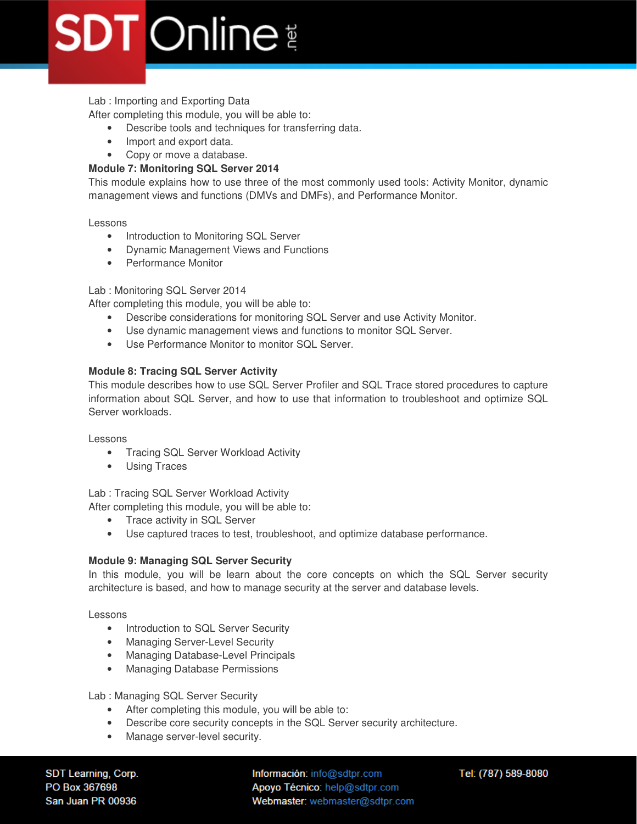## Lab : Importing and Exporting Data

After completing this module, you will be able to:

- Describe tools and techniques for transferring data.
- Import and export data.
- Copy or move a database.

## **Module 7: Monitoring SQL Server 2014**

This module explains how to use three of the most commonly used tools: Activity Monitor, dynamic management views and functions (DMVs and DMFs), and Performance Monitor.

Lessons

- Introduction to Monitoring SQL Server
- Dynamic Management Views and Functions
- Performance Monitor

## Lab : Monitoring SQL Server 2014

After completing this module, you will be able to:

- Describe considerations for monitoring SQL Server and use Activity Monitor.
- Use dynamic management views and functions to monitor SQL Server.
- Use Performance Monitor to monitor SQL Server.

## **Module 8: Tracing SQL Server Activity**

This module describes how to use SQL Server Profiler and SQL Trace stored procedures to capture information about SQL Server, and how to use that information to troubleshoot and optimize SQL Server workloads.

Lessons

- Tracing SQL Server Workload Activity
- Using Traces

Lab : Tracing SQL Server Workload Activity

After completing this module, you will be able to:

- Trace activity in SQL Server
- Use captured traces to test, troubleshoot, and optimize database performance.

## **Module 9: Managing SQL Server Security**

In this module, you will be learn about the core concepts on which the SQL Server security architecture is based, and how to manage security at the server and database levels.

Lessons

- Introduction to SQL Server Security
- Managing Server-Level Security
- Managing Database-Level Principals
- Managing Database Permissions

## Lab : Managing SQL Server Security

- After completing this module, you will be able to:
- Describe core security concepts in the SQL Server security architecture.
- Manage server-level security.

SDT Learning, Corp. PO Box 367698 San Juan PR 00936

Información: info@sdtpr.com Apoyo Técnico: help@sdtpr.com Webmaster: webmaster@sdtpr.com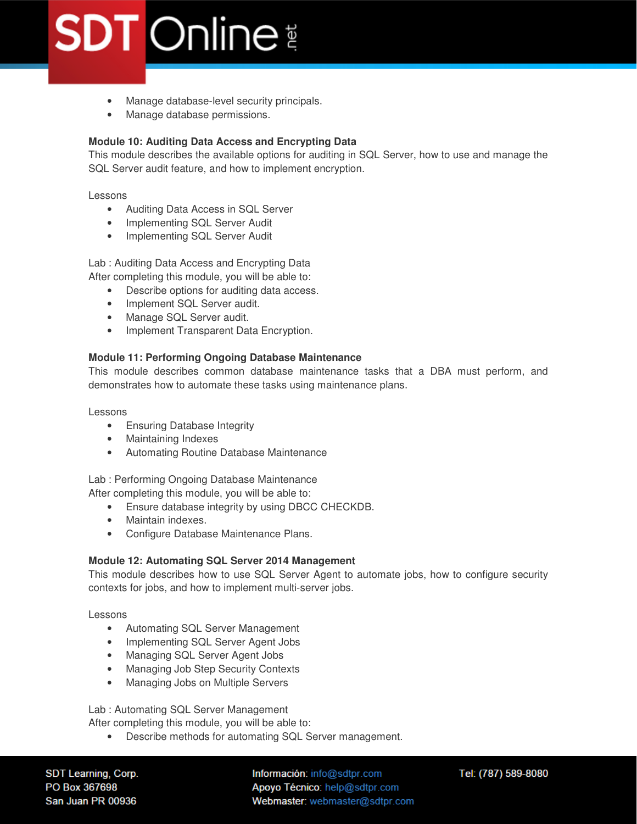- Manage database-level security principals.
- Manage database permissions.

## **Module 10: Auditing Data Access and Encrypting Data**

This module describes the available options for auditing in SQL Server, how to use and manage the SQL Server audit feature, and how to implement encryption.

Lessons

- Auditing Data Access in SQL Server
- Implementing SQL Server Audit
- Implementing SQL Server Audit

Lab : Auditing Data Access and Encrypting Data After completing this module, you will be able to:

- Describe options for auditing data access.
- Implement SQL Server audit.
- Manage SQL Server audit.
- Implement Transparent Data Encryption.

## **Module 11: Performing Ongoing Database Maintenance**

This module describes common database maintenance tasks that a DBA must perform, and demonstrates how to automate these tasks using maintenance plans.

Lessons

- Ensuring Database Integrity
- Maintaining Indexes
- Automating Routine Database Maintenance

Lab : Performing Ongoing Database Maintenance

After completing this module, you will be able to:

- Ensure database integrity by using DBCC CHECKDB.
- Maintain indexes.
- Configure Database Maintenance Plans.

## **Module 12: Automating SQL Server 2014 Management**

This module describes how to use SQL Server Agent to automate jobs, how to configure security contexts for jobs, and how to implement multi-server jobs.

Lessons

- Automating SQL Server Management
- Implementing SQL Server Agent Jobs
- Managing SQL Server Agent Jobs
- Managing Job Step Security Contexts
- Managing Jobs on Multiple Servers

Lab : Automating SQL Server Management

After completing this module, you will be able to:

• Describe methods for automating SQL Server management.

SDT Learning, Corp. PO Box 367698 San Juan PR 00936

Información: info@sdtpr.com Apoyo Técnico: help@sdtpr.com Webmaster: webmaster@sdtpr.com